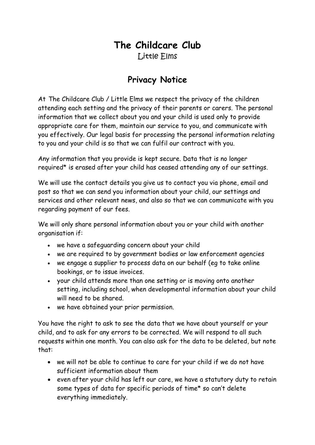## **The Childcare Club** Little Elms

## **Privacy Notice**

At The Childcare Club / Little Elms we respect the privacy of the children attending each setting and the privacy of their parents or carers. The personal information that we collect about you and your child is used only to provide appropriate care for them, maintain our service to you, and communicate with you effectively. Our legal basis for processing the personal information relating to you and your child is so that we can fulfil our contract with you.

Any information that you provide is kept secure. Data that is no longer required\* is erased after your child has ceased attending any of our settings.

We will use the contact details you give us to contact you via phone, email and post so that we can send you information about your child, our settings and services and other relevant news, and also so that we can communicate with you regarding payment of our fees.

We will only share personal information about you or your child with another organisation if:

- we have a safeguarding concern about your child
- we are required to by government bodies or law enforcement agencies
- we engage a supplier to process data on our behalf (eg to take online bookings, or to issue invoices.
- your child attends more than one setting or is moving onto another setting, including school, when developmental information about your child will need to be shared.
- we have obtained your prior permission.

You have the right to ask to see the data that we have about yourself or your child, and to ask for any errors to be corrected. We will respond to all such requests within one month. You can also ask for the data to be deleted, but note that:

- we will not be able to continue to care for your child if we do not have sufficient information about them
- even after your child has left our care, we have a statutory duty to retain some types of data for specific periods of time\* so can't delete everything immediately.